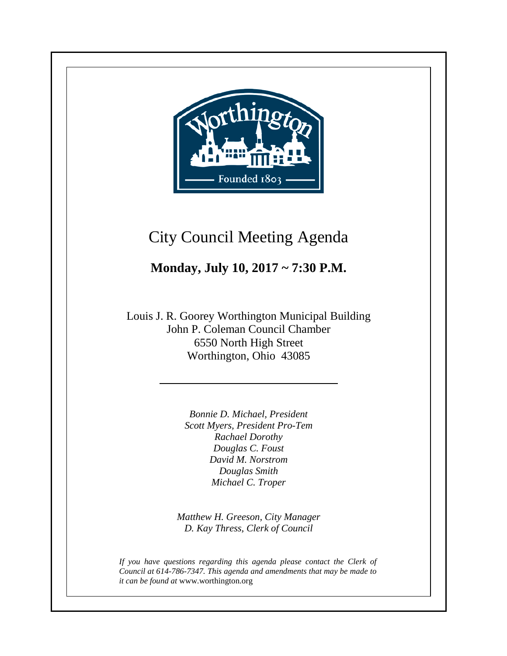

**+**

## City Council Meeting Agenda

#### **Monday, July 10, 2017 ~ 7:30 P.M.**

Louis J. R. Goorey Worthington Municipal Building John P. Coleman Council Chamber 6550 North High Street Worthington, Ohio 43085

> *Bonnie D. Michael, President Scott Myers, President Pro-Tem Rachael Dorothy Douglas C. Foust David M. Norstrom Douglas Smith Michael C. Troper*

*Matthew H. Greeson, City Manager D. Kay Thress, Clerk of Council*

*If you have questions regarding this agenda please contact the Clerk of Council at 614-786-7347. This agenda and amendments that may be made to it can be found at* www.worthington.org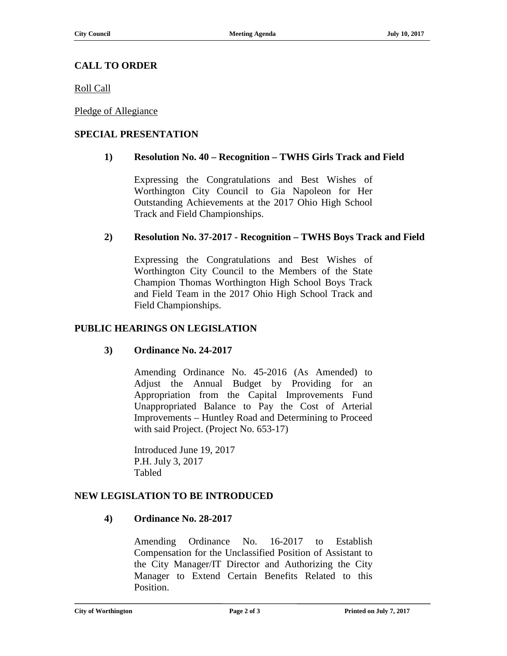#### **CALL TO ORDER**

Roll Call

Pledge of Allegiance

#### **SPECIAL PRESENTATION**

#### **1) Resolution No. 40 – Recognition – TWHS Girls Track and Field**

Expressing the Congratulations and Best Wishes of Worthington City Council to Gia Napoleon for Her Outstanding Achievements at the 2017 Ohio High School Track and Field Championships.

#### **2) Resolution No. 37-2017 - Recognition – TWHS Boys Track and Field**

Expressing the Congratulations and Best Wishes of Worthington City Council to the Members of the State Champion Thomas Worthington High School Boys Track and Field Team in the 2017 Ohio High School Track and Field Championships.

#### **PUBLIC HEARINGS ON LEGISLATION**

#### **3) Ordinance No. 24-2017**

Amending Ordinance No. 45-2016 (As Amended) to Adjust the Annual Budget by Providing for an Appropriation from the Capital Improvements Fund Unappropriated Balance to Pay the Cost of Arterial Improvements – Huntley Road and Determining to Proceed with said Project. (Project No. 653-17)

Introduced June 19, 2017 P.H. July 3, 2017 Tabled

#### **NEW LEGISLATION TO BE INTRODUCED**

#### **4) Ordinance No. 28-2017**

Amending Ordinance No. 16-2017 to Establish Compensation for the Unclassified Position of Assistant to the City Manager/IT Director and Authorizing the City Manager to Extend Certain Benefits Related to this Position.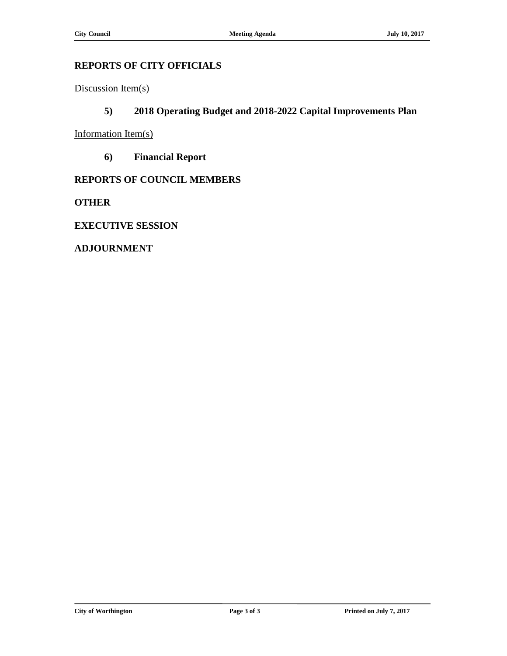#### **REPORTS OF CITY OFFICIALS**

Discussion Item(s)

#### **5) 2018 Operating Budget and 2018-2022 Capital Improvements Plan**

Information Item(s)

**6) Financial Report**

#### **REPORTS OF COUNCIL MEMBERS**

**OTHER**

**EXECUTIVE SESSION**

**ADJOURNMENT**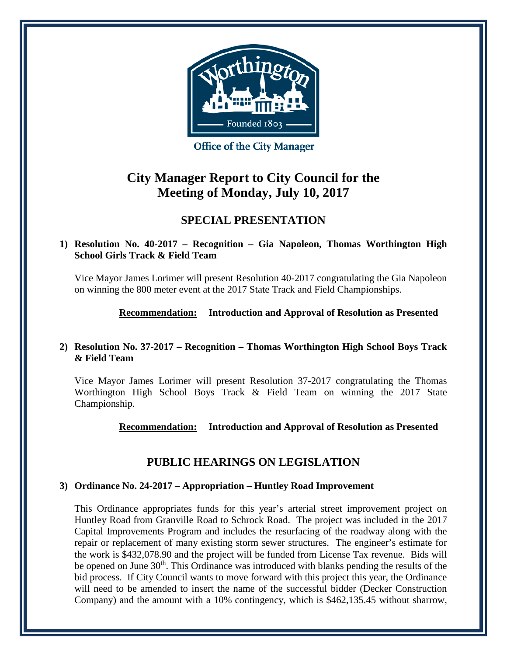

**Office of the City Manager** 

#### **City Manager Report to City Council for the Meeting of Monday, July 10, 2017**

#### **SPECIAL PRESENTATION**

#### **1) Resolution No. 40-2017 – Recognition – Gia Napoleon, Thomas Worthington High School Girls Track & Field Team**

Vice Mayor James Lorimer will present Resolution 40-2017 congratulating the Gia Napoleon on winning the 800 meter event at the 2017 State Track and Field Championships.

**Recommendation: Introduction and Approval of Resolution as Presented**

#### **2) Resolution No. 37-2017 – Recognition – Thomas Worthington High School Boys Track & Field Team**

Vice Mayor James Lorimer will present Resolution 37-2017 congratulating the Thomas Worthington High School Boys Track & Field Team on winning the 2017 State Championship.

#### **Recommendation: Introduction and Approval of Resolution as Presented**

#### **PUBLIC HEARINGS ON LEGISLATION**

#### **3) Ordinance No. 24-2017 – Appropriation – Huntley Road Improvement**

This Ordinance appropriates funds for this year's arterial street improvement project on Huntley Road from Granville Road to Schrock Road. The project was included in the 2017 Capital Improvements Program and includes the resurfacing of the roadway along with the repair or replacement of many existing storm sewer structures. The engineer's estimate for the work is \$432,078.90 and the project will be funded from License Tax revenue. Bids will be opened on June  $30<sup>th</sup>$ . This Ordinance was introduced with blanks pending the results of the bid process. If City Council wants to move forward with this project this year, the Ordinance will need to be amended to insert the name of the successful bidder (Decker Construction Company) and the amount with a 10% contingency, which is \$462,135.45 without sharrow,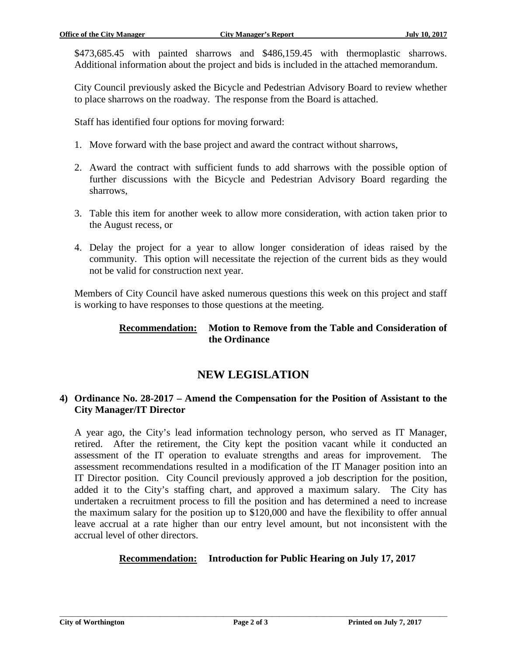\$473,685.45 with painted sharrows and \$486,159.45 with thermoplastic sharrows. Additional information about the project and bids is included in the attached memorandum.

City Council previously asked the Bicycle and Pedestrian Advisory Board to review whether to place sharrows on the roadway. The response from the Board is attached.

Staff has identified four options for moving forward:

- 1. Move forward with the base project and award the contract without sharrows,
- 2. Award the contract with sufficient funds to add sharrows with the possible option of further discussions with the Bicycle and Pedestrian Advisory Board regarding the sharrows,
- 3. Table this item for another week to allow more consideration, with action taken prior to the August recess, or
- 4. Delay the project for a year to allow longer consideration of ideas raised by the community. This option will necessitate the rejection of the current bids as they would not be valid for construction next year.

Members of City Council have asked numerous questions this week on this project and staff is working to have responses to those questions at the meeting.

#### **Recommendation: Motion to Remove from the Table and Consideration of the Ordinance**

#### **NEW LEGISLATION**

#### **4) Ordinance No. 28-2017 – Amend the Compensation for the Position of Assistant to the City Manager/IT Director**

A year ago, the City's lead information technology person, who served as IT Manager, retired. After the retirement, the City kept the position vacant while it conducted an assessment of the IT operation to evaluate strengths and areas for improvement. The assessment recommendations resulted in a modification of the IT Manager position into an IT Director position. City Council previously approved a job description for the position, added it to the City's staffing chart, and approved a maximum salary. The City has undertaken a recruitment process to fill the position and has determined a need to increase the maximum salary for the position up to \$120,000 and have the flexibility to offer annual leave accrual at a rate higher than our entry level amount, but not inconsistent with the accrual level of other directors.

#### **Recommendation: Introduction for Public Hearing on July 17, 2017**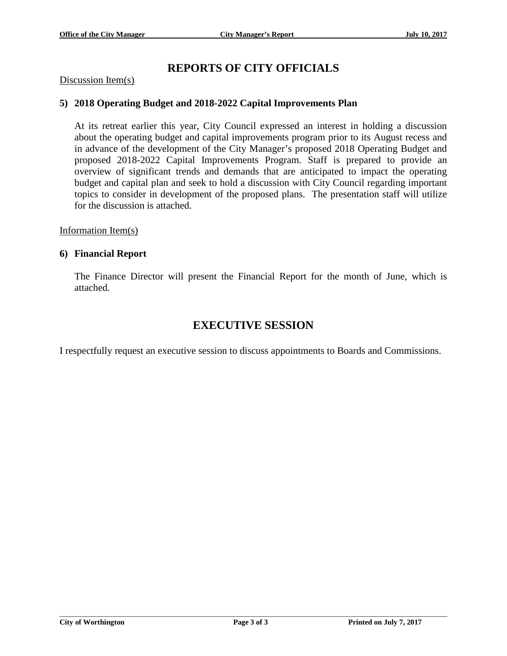#### **REPORTS OF CITY OFFICIALS**

#### Discussion Item(s)

#### **5) 2018 Operating Budget and 2018-2022 Capital Improvements Plan**

At its retreat earlier this year, City Council expressed an interest in holding a discussion about the operating budget and capital improvements program prior to its August recess and in advance of the development of the City Manager's proposed 2018 Operating Budget and proposed 2018-2022 Capital Improvements Program. Staff is prepared to provide an overview of significant trends and demands that are anticipated to impact the operating budget and capital plan and seek to hold a discussion with City Council regarding important topics to consider in development of the proposed plans. The presentation staff will utilize for the discussion is attached.

Information Item(s)

#### **6) Financial Report**

The Finance Director will present the Financial Report for the month of June, which is attached.

#### **EXECUTIVE SESSION**

I respectfully request an executive session to discuss appointments to Boards and Commissions.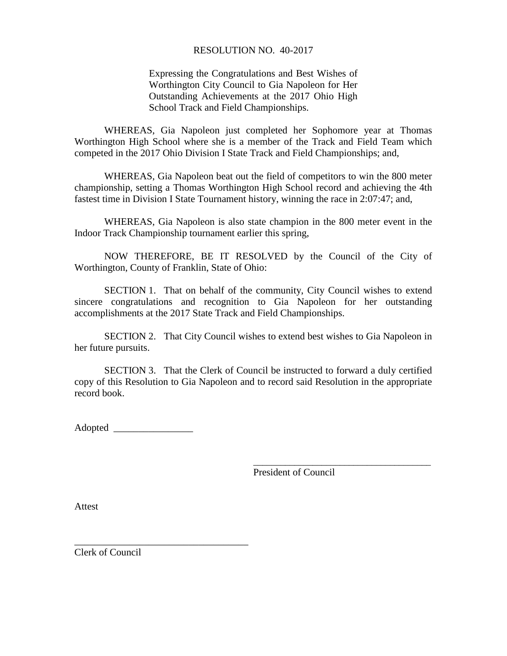#### RESOLUTION NO. 40-2017

Expressing the Congratulations and Best Wishes of Worthington City Council to Gia Napoleon for Her Outstanding Achievements at the 2017 Ohio High School Track and Field Championships.

WHEREAS, Gia Napoleon just completed her Sophomore year at Thomas Worthington High School where she is a member of the Track and Field Team which competed in the 2017 Ohio Division I State Track and Field Championships; and,

WHEREAS, Gia Napoleon beat out the field of competitors to win the 800 meter championship, setting a Thomas Worthington High School record and achieving the 4th fastest time in Division I State Tournament history, winning the race in 2:07:47; and,

WHEREAS, Gia Napoleon is also state champion in the 800 meter event in the Indoor Track Championship tournament earlier this spring,

NOW THEREFORE, BE IT RESOLVED by the Council of the City of Worthington, County of Franklin, State of Ohio:

SECTION 1. That on behalf of the community, City Council wishes to extend sincere congratulations and recognition to Gia Napoleon for her outstanding accomplishments at the 2017 State Track and Field Championships.

SECTION 2. That City Council wishes to extend best wishes to Gia Napoleon in her future pursuits.

SECTION 3. That the Clerk of Council be instructed to forward a duly certified copy of this Resolution to Gia Napoleon and to record said Resolution in the appropriate record book.

Adopted \_\_\_\_\_\_\_\_\_\_\_\_\_\_\_\_

\_\_\_\_\_\_\_\_\_\_\_\_\_\_\_\_\_\_\_\_\_\_\_\_\_\_\_\_\_\_\_\_\_\_\_

President of Council

\_\_\_\_\_\_\_\_\_\_\_\_\_\_\_\_\_\_\_\_\_\_\_\_\_\_\_\_\_\_\_\_\_\_\_\_\_\_\_

Attest

Clerk of Council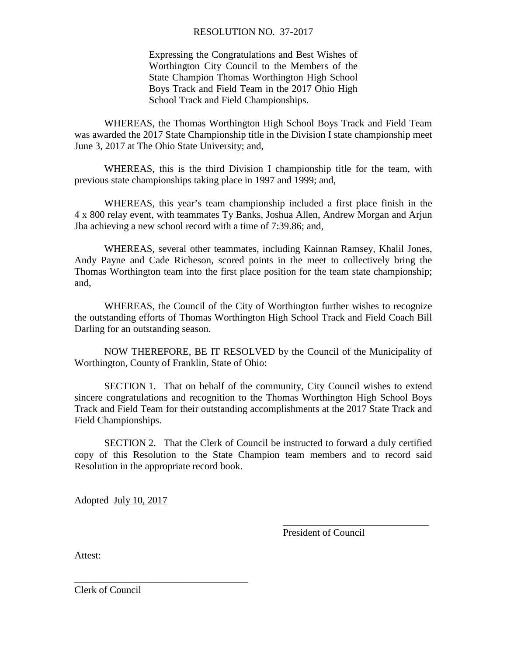#### RESOLUTION NO. 37-2017

Expressing the Congratulations and Best Wishes of Worthington City Council to the Members of the State Champion Thomas Worthington High School Boys Track and Field Team in the 2017 Ohio High School Track and Field Championships.

WHEREAS, the Thomas Worthington High School Boys Track and Field Team was awarded the 2017 State Championship title in the Division I state championship meet June 3, 2017 at The Ohio State University; and,

WHEREAS, this is the third Division I championship title for the team, with previous state championships taking place in 1997 and 1999; and,

WHEREAS, this year's team championship included a first place finish in the 4 x 800 relay event, with teammates Ty Banks, Joshua Allen, Andrew Morgan and Arjun Jha achieving a new school record with a time of 7:39.86; and,

WHEREAS, several other teammates, including Kainnan Ramsey, Khalil Jones, Andy Payne and Cade Richeson, scored points in the meet to collectively bring the Thomas Worthington team into the first place position for the team state championship; and,

WHEREAS, the Council of the City of Worthington further wishes to recognize the outstanding efforts of Thomas Worthington High School Track and Field Coach Bill Darling for an outstanding season.

NOW THEREFORE, BE IT RESOLVED by the Council of the Municipality of Worthington, County of Franklin, State of Ohio:

SECTION 1. That on behalf of the community, City Council wishes to extend sincere congratulations and recognition to the Thomas Worthington High School Boys Track and Field Team for their outstanding accomplishments at the 2017 State Track and Field Championships.

SECTION 2. That the Clerk of Council be instructed to forward a duly certified copy of this Resolution to the State Champion team members and to record said Resolution in the appropriate record book.

Adopted July 10, 2017

\_\_\_\_\_\_\_\_\_\_\_\_\_\_\_\_\_\_\_\_\_\_\_\_\_\_\_\_\_\_\_\_\_\_\_

President of Council

\_\_\_\_\_\_\_\_\_\_\_\_\_\_\_\_\_\_\_\_\_\_\_\_\_\_\_\_\_\_\_\_

Attest:

Clerk of Council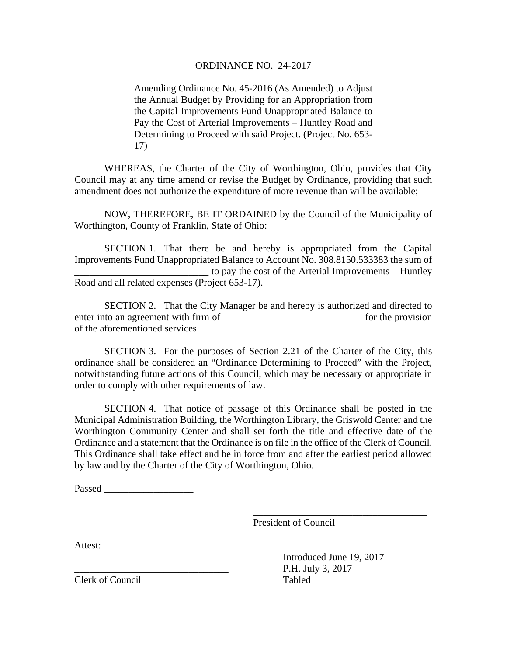#### ORDINANCE NO. 24-2017

Amending Ordinance No. 45-2016 (As Amended) to Adjust the Annual Budget by Providing for an Appropriation from the Capital Improvements Fund Unappropriated Balance to Pay the Cost of Arterial Improvements – Huntley Road and Determining to Proceed with said Project. (Project No. 653- 17)

WHEREAS, the Charter of the City of Worthington, Ohio, provides that City Council may at any time amend or revise the Budget by Ordinance, providing that such amendment does not authorize the expenditure of more revenue than will be available;

NOW, THEREFORE, BE IT ORDAINED by the Council of the Municipality of Worthington, County of Franklin, State of Ohio:

SECTION 1. That there be and hereby is appropriated from the Capital Improvements Fund Unappropriated Balance to Account No. 308.8150.533383 the sum of to pay the cost of the Arterial Improvements – Huntley Road and all related expenses (Project 653-17).

SECTION 2. That the City Manager be and hereby is authorized and directed to enter into an agreement with firm of \_\_\_\_\_\_\_\_\_\_\_\_\_\_\_\_\_\_\_\_\_\_\_\_\_\_\_\_ for the provision of the aforementioned services.

SECTION 3. For the purposes of Section 2.21 of the Charter of the City, this ordinance shall be considered an "Ordinance Determining to Proceed" with the Project, notwithstanding future actions of this Council, which may be necessary or appropriate in order to comply with other requirements of law.

SECTION 4. That notice of passage of this Ordinance shall be posted in the Municipal Administration Building, the Worthington Library, the Griswold Center and the Worthington Community Center and shall set forth the title and effective date of the Ordinance and a statement that the Ordinance is on file in the office of the Clerk of Council. This Ordinance shall take effect and be in force from and after the earliest period allowed by law and by the Charter of the City of Worthington, Ohio.

Passed  $\Box$ 

President of Council

Attest:

Introduced June 19, 2017 P.H. July 3, 2017

\_\_\_\_\_\_\_\_\_\_\_\_\_\_\_\_\_\_\_\_\_\_\_\_\_\_\_\_\_\_\_\_\_\_\_

Clerk of Council Tabled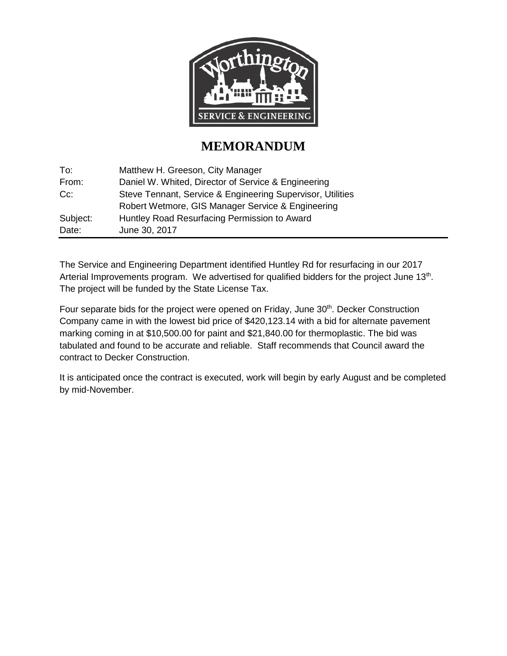

#### **MEMORANDUM**

| To:      | Matthew H. Greeson, City Manager                           |
|----------|------------------------------------------------------------|
| From:    | Daniel W. Whited, Director of Service & Engineering        |
| $Cc$ :   | Steve Tennant, Service & Engineering Supervisor, Utilities |
|          | Robert Wetmore, GIS Manager Service & Engineering          |
| Subject: | Huntley Road Resurfacing Permission to Award               |
| Date:    | June 30, 2017                                              |

The Service and Engineering Department identified Huntley Rd for resurfacing in our 2017 Arterial Improvements program. We advertised for qualified bidders for the project June 13<sup>th</sup>. The project will be funded by the State License Tax.

Four separate bids for the project were opened on Friday, June 30<sup>th</sup>. Decker Construction Company came in with the lowest bid price of \$420,123.14 with a bid for alternate pavement marking coming in at \$10,500.00 for paint and \$21,840.00 for thermoplastic. The bid was tabulated and found to be accurate and reliable. Staff recommends that Council award the contract to Decker Construction.

It is anticipated once the contract is executed, work will begin by early August and be completed by mid-November.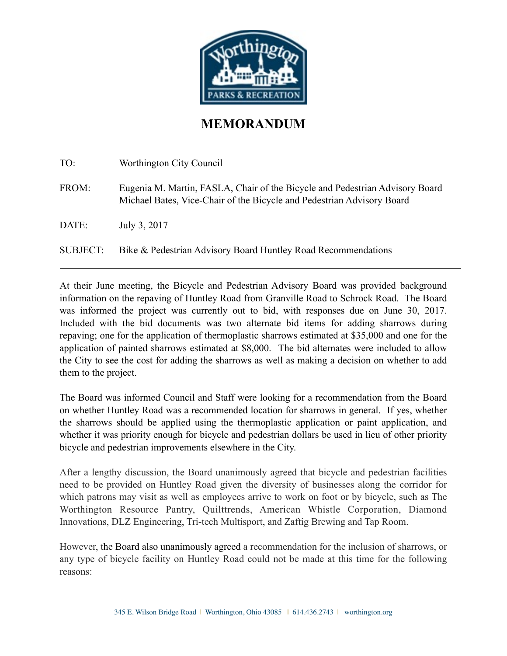

#### **MEMORANDUM**

| TO:      | Worthington City Council                                                                                                                               |
|----------|--------------------------------------------------------------------------------------------------------------------------------------------------------|
| FROM:    | Eugenia M. Martin, FASLA, Chair of the Bicycle and Pedestrian Advisory Board<br>Michael Bates, Vice-Chair of the Bicycle and Pedestrian Advisory Board |
| DATE:    | July 3, 2017                                                                                                                                           |
| SUBJECT: | Bike & Pedestrian Advisory Board Huntley Road Recommendations                                                                                          |

At their June meeting, the Bicycle and Pedestrian Advisory Board was provided background information on the repaving of Huntley Road from Granville Road to Schrock Road. The Board was informed the project was currently out to bid, with responses due on June 30, 2017. Included with the bid documents was two alternate bid items for adding sharrows during repaving; one for the application of thermoplastic sharrows estimated at \$35,000 and one for the application of painted sharrows estimated at \$8,000. The bid alternates were included to allow the City to see the cost for adding the sharrows as well as making a decision on whether to add them to the project.

The Board was informed Council and Staff were looking for a recommendation from the Board on whether Huntley Road was a recommended location for sharrows in general. If yes, whether the sharrows should be applied using the thermoplastic application or paint application, and whether it was priority enough for bicycle and pedestrian dollars be used in lieu of other priority bicycle and pedestrian improvements elsewhere in the City.

After a lengthy discussion, the Board unanimously agreed that bicycle and pedestrian facilities need to be provided on Huntley Road given the diversity of businesses along the corridor for which patrons may visit as well as employees arrive to work on foot or by bicycle, such as The Worthington Resource Pantry, Quilttrends, American Whistle Corporation, Diamond Innovations, DLZ Engineering, Tri-tech Multisport, and Zaftig Brewing and Tap Room.

However, the Board also unanimously agreed a recommendation for the inclusion of sharrows, or any type of bicycle facility on Huntley Road could not be made at this time for the following reasons: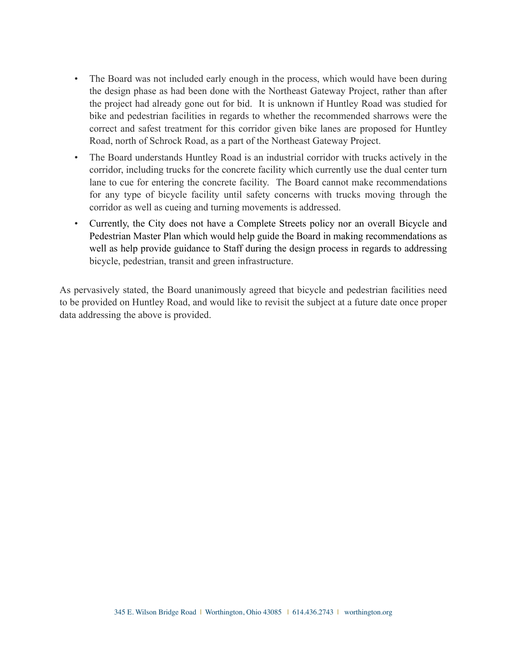- The Board was not included early enough in the process, which would have been during the design phase as had been done with the Northeast Gateway Project, rather than after the project had already gone out for bid. It is unknown if Huntley Road was studied for bike and pedestrian facilities in regards to whether the recommended sharrows were the correct and safest treatment for this corridor given bike lanes are proposed for Huntley Road, north of Schrock Road, as a part of the Northeast Gateway Project.
- The Board understands Huntley Road is an industrial corridor with trucks actively in the corridor, including trucks for the concrete facility which currently use the dual center turn lane to cue for entering the concrete facility. The Board cannot make recommendations for any type of bicycle facility until safety concerns with trucks moving through the corridor as well as cueing and turning movements is addressed.
- Currently, the City does not have a Complete Streets policy nor an overall Bicycle and Pedestrian Master Plan which would help guide the Board in making recommendations as well as help provide guidance to Staff during the design process in regards to addressing bicycle, pedestrian, transit and green infrastructure.

As pervasively stated, the Board unanimously agreed that bicycle and pedestrian facilities need to be provided on Huntley Road, and would like to revisit the subject at a future date once proper data addressing the above is provided.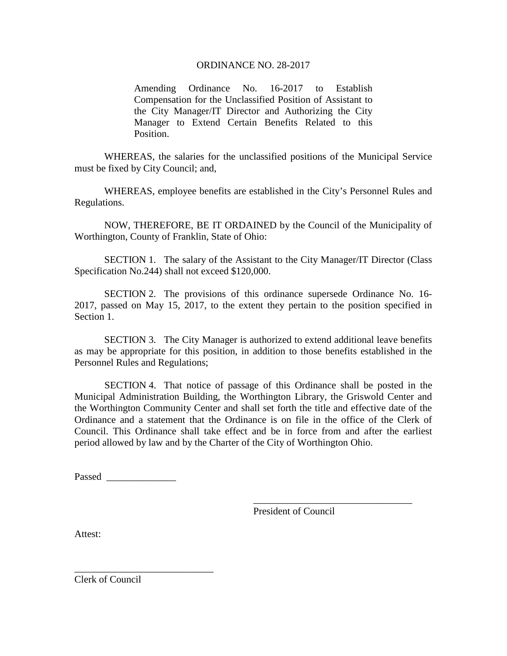#### ORDINANCE NO. 28-2017

Amending Ordinance No. 16-2017 to Establish Compensation for the Unclassified Position of Assistant to the City Manager/IT Director and Authorizing the City Manager to Extend Certain Benefits Related to this Position.

WHEREAS, the salaries for the unclassified positions of the Municipal Service must be fixed by City Council; and,

WHEREAS, employee benefits are established in the City's Personnel Rules and Regulations.

NOW, THEREFORE, BE IT ORDAINED by the Council of the Municipality of Worthington, County of Franklin, State of Ohio:

SECTION 1. The salary of the Assistant to the City Manager/IT Director (Class Specification No.244) shall not exceed \$120,000.

SECTION 2. The provisions of this ordinance supersede Ordinance No. 16- 2017, passed on May 15, 2017, to the extent they pertain to the position specified in Section 1.

SECTION 3. The City Manager is authorized to extend additional leave benefits as may be appropriate for this position, in addition to those benefits established in the Personnel Rules and Regulations;

SECTION 4. That notice of passage of this Ordinance shall be posted in the Municipal Administration Building, the Worthington Library, the Griswold Center and the Worthington Community Center and shall set forth the title and effective date of the Ordinance and a statement that the Ordinance is on file in the office of the Clerk of Council. This Ordinance shall take effect and be in force from and after the earliest period allowed by law and by the Charter of the City of Worthington Ohio.

Passed  $\Box$ 

\_\_\_\_\_\_\_\_\_\_\_\_\_\_\_\_\_\_\_\_\_\_\_\_\_\_\_\_

President of Council

 $\overline{\phantom{a}}$  , where  $\overline{\phantom{a}}$  , where  $\overline{\phantom{a}}$  ,  $\overline{\phantom{a}}$  ,  $\overline{\phantom{a}}$  ,  $\overline{\phantom{a}}$  ,  $\overline{\phantom{a}}$  ,  $\overline{\phantom{a}}$  ,  $\overline{\phantom{a}}$  ,  $\overline{\phantom{a}}$  ,  $\overline{\phantom{a}}$  ,  $\overline{\phantom{a}}$  ,  $\overline{\phantom{a}}$  ,  $\overline{\phantom{a}}$  ,  $\overline{\phantom{a}}$  ,

Attest:

Clerk of Council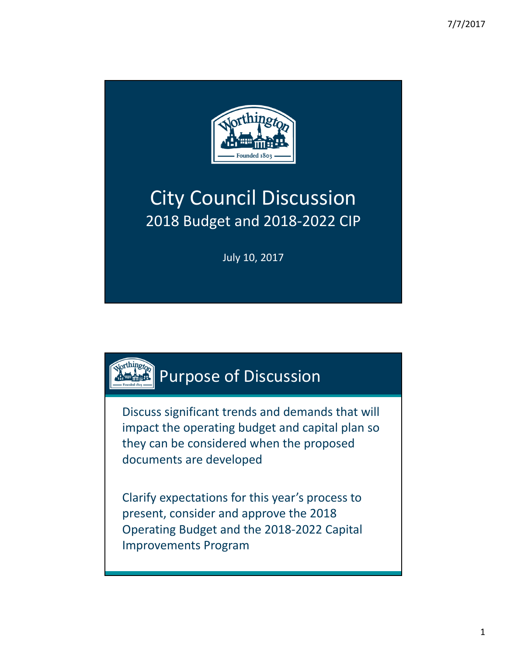

## City Council Discussion 2018 Budget and 2018‐2022 CIP

July 10, 2017

## **Purpose of Discussion**

Discuss significant trends and demands that will impact the operating budget and capital plan so they can be considered when the proposed documents are developed

Clarify expectations for this year's process to present, consider and approve the 2018 Operating Budget and the 2018‐2022 Capital Improvements Program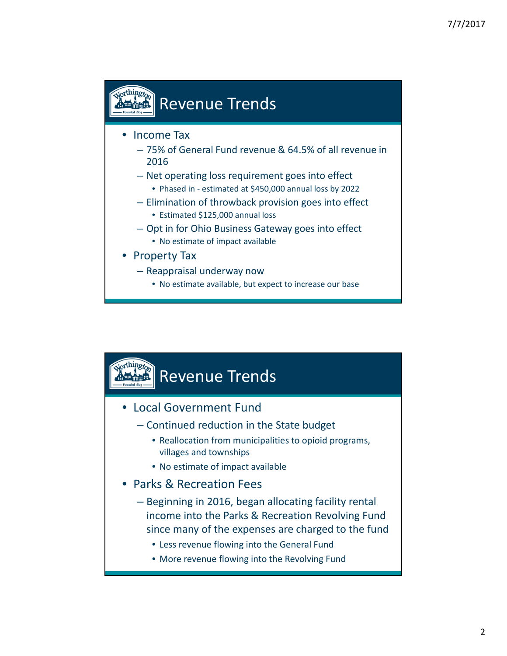## **Revenue Trends**

#### • Income Tax

- 75% of General Fund revenue & 64.5% of all revenue in 2016
- Net operating loss requirement goes into effect
- Phased in estimated at \$450,000 annual loss by 2022
- Elimination of throwback provision goes into effect
	- Estimated \$125,000 annual loss
- Opt in for Ohio Business Gateway goes into effect
	- No estimate of impact available
- Property Tax
	- Reappraisal underway now
		- No estimate available, but expect to increase our base

## Revenue Trends

- Local Government Fund
	- Continued reduction in the State budget
		- Reallocation from municipalities to opioid programs, villages and townships
		- No estimate of impact available
- Parks & Recreation Fees
	- Beginning in 2016, began allocating facility rental income into the Parks & Recreation Revolving Fund since many of the expenses are charged to the fund
		- Less revenue flowing into the General Fund
		- More revenue flowing into the Revolving Fund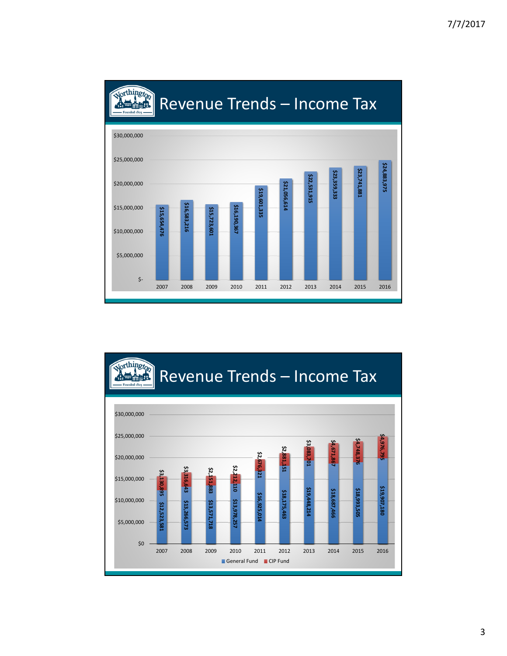

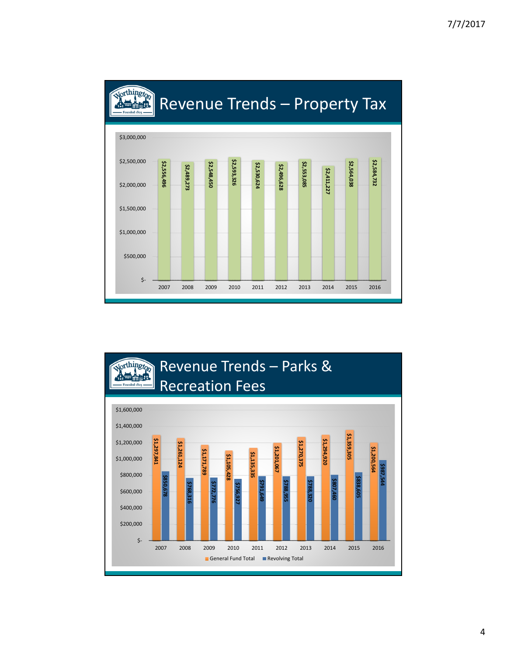

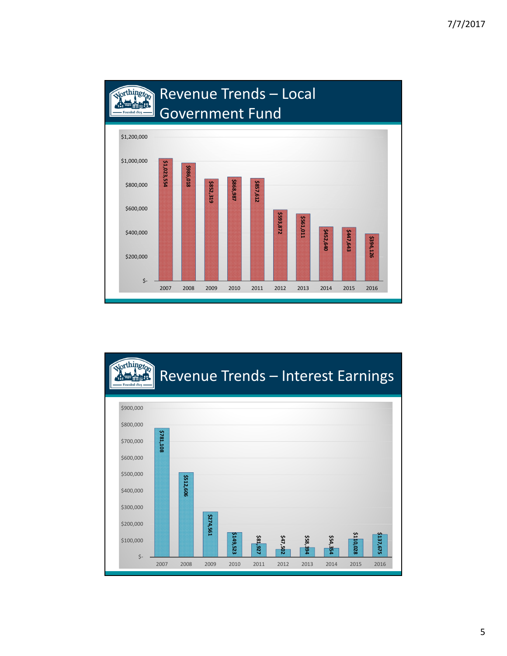

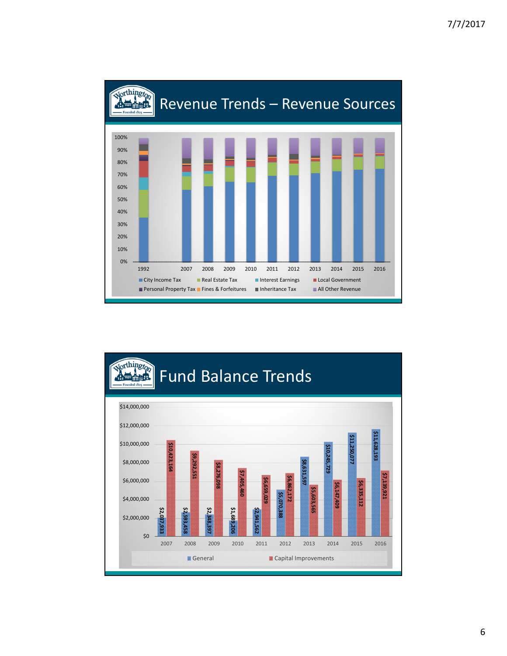

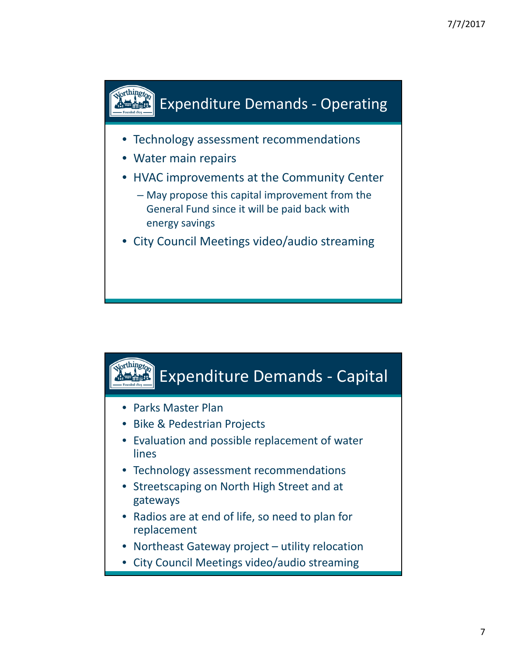

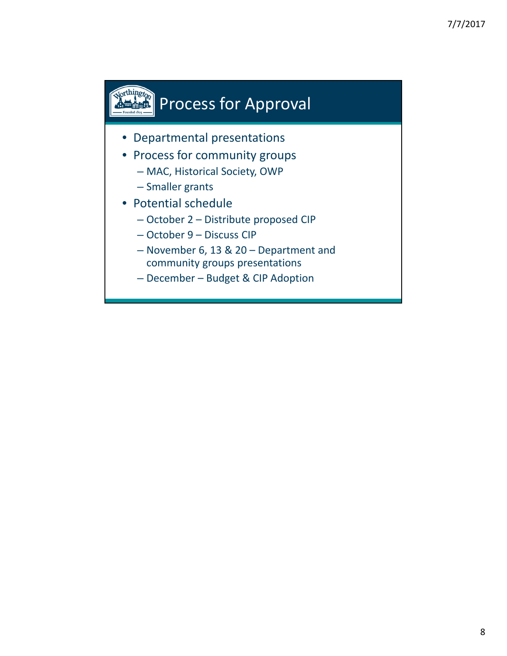# **Process for Approval**

- Departmental presentations
- Process for community groups
	- MAC, Historical Society, OWP
	- Smaller grants
- Potential schedule
	- October 2 Distribute proposed CIP
	- October 9 Discuss CIP
	- November 6, 13 & 20 Department and community groups presentations
	- December Budget & CIP Adoption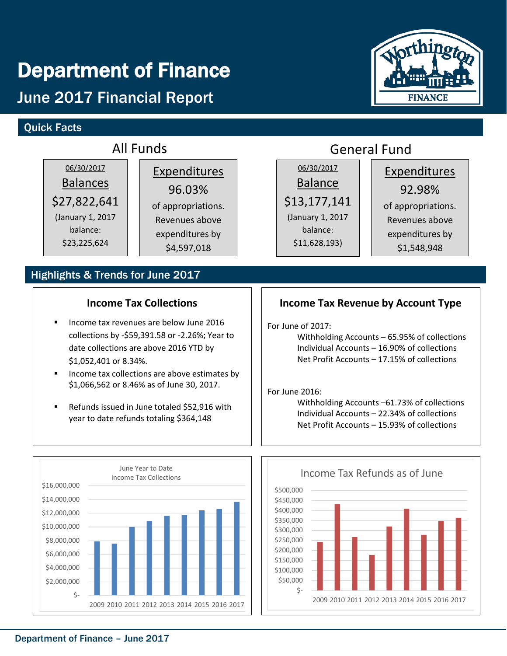## Department of Finance

## June 2017 Financial Report

#### Quick Facts

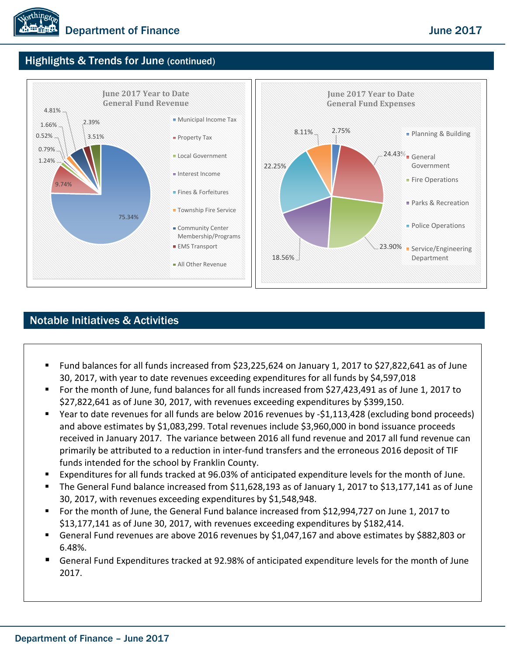#### Highlights & Trends for June (continued)



#### Notable Initiatives & Activities

- Fund balances for all funds increased from \$23,225,624 on January 1, 2017 to \$27,822,641 as of June 30, 2017, with year to date revenues exceeding expenditures for all funds by \$4,597,018
- For the month of June, fund balances for all funds increased from \$27,423,491 as of June 1, 2017 to \$27,822,641 as of June 30, 2017, with revenues exceeding expenditures by \$399,150.
- Year to date revenues for all funds are below 2016 revenues by -\$1,113,428 (excluding bond proceeds) and above estimates by \$1,083,299. Total revenues include \$3,960,000 in bond issuance proceeds received in January 2017. The variance between 2016 all fund revenue and 2017 all fund revenue can primarily be attributed to a reduction in inter-fund transfers and the erroneous 2016 deposit of TIF funds intended for the school by Franklin County.
- Expenditures for all funds tracked at 96.03% of anticipated expenditure levels for the month of June.
- The General Fund balance increased from \$11,628,193 as of January 1, 2017 to \$13,177,141 as of June 30, 2017, with revenues exceeding expenditures by \$1,548,948.
- For the month of June, the General Fund balance increased from \$12,994,727 on June 1, 2017 to \$13,177,141 as of June 30, 2017, with revenues exceeding expenditures by \$182,414.
- General Fund revenues are above 2016 revenues by \$1,047,167 and above estimates by \$882,803 or 6.48%.
- General Fund Expenditures tracked at 92.98% of anticipated expenditure levels for the month of June 2017.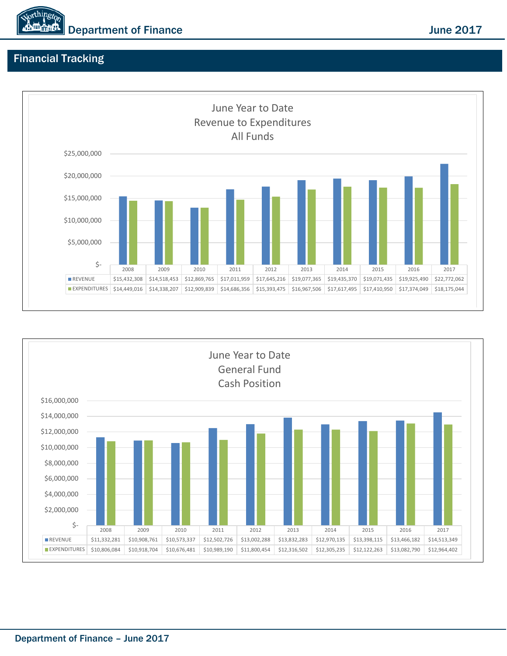

#### Financial Tracking



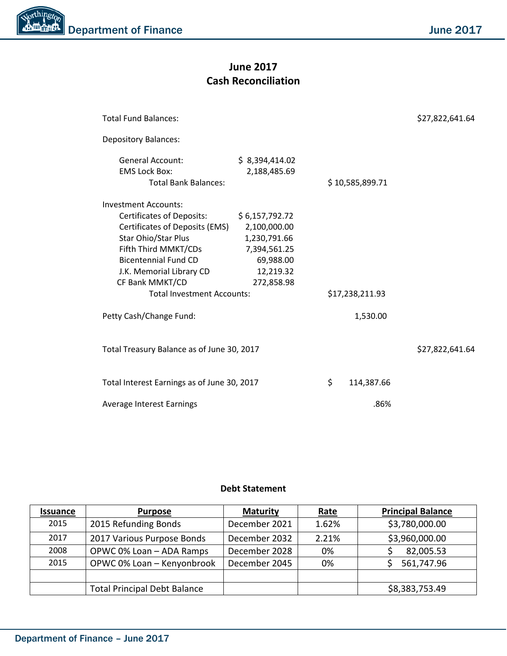#### **June 2017 Cash Reconciliation**

| <b>Total Fund Balances:</b>                                                                                                                                                                                                                                                                                                                                     |                                |      | \$27,822,641.64 |                 |
|-----------------------------------------------------------------------------------------------------------------------------------------------------------------------------------------------------------------------------------------------------------------------------------------------------------------------------------------------------------------|--------------------------------|------|-----------------|-----------------|
| <b>Depository Balances:</b>                                                                                                                                                                                                                                                                                                                                     |                                |      |                 |                 |
| <b>General Account:</b><br><b>EMS Lock Box:</b><br><b>Total Bank Balances:</b>                                                                                                                                                                                                                                                                                  | \$8,394,414.02<br>2,188,485.69 |      | \$10,585,899.71 |                 |
| Investment Accounts:<br>Certificates of Deposits:<br>\$6,157,792.72<br>Certificates of Deposits (EMS)<br>2,100,000.00<br>Star Ohio/Star Plus<br>1,230,791.66<br>Fifth Third MMKT/CDs<br>7,394,561.25<br><b>Bicentennial Fund CD</b><br>69,988.00<br>J.K. Memorial Library CD<br>12,219.32<br>CF Bank MMKT/CD<br>272,858.98<br><b>Total Investment Accounts:</b> |                                |      | \$17,238,211.93 |                 |
| Petty Cash/Change Fund:                                                                                                                                                                                                                                                                                                                                         |                                |      | 1,530.00        |                 |
| Total Treasury Balance as of June 30, 2017                                                                                                                                                                                                                                                                                                                      |                                |      |                 | \$27,822,641.64 |
| Total Interest Earnings as of June 30, 2017                                                                                                                                                                                                                                                                                                                     |                                |      | 114,387.66      |                 |
| Average Interest Earnings                                                                                                                                                                                                                                                                                                                                       |                                | .86% |                 |                 |

#### **Debt Statement**

| <b>Issuance</b> | <b>Purpose</b>                      | <b>Maturity</b> | <u>Rate</u> | <b>Principal Balance</b> |
|-----------------|-------------------------------------|-----------------|-------------|--------------------------|
| 2015            | 2015 Refunding Bonds                | December 2021   | 1.62%       | \$3,780,000.00           |
| 2017            | 2017 Various Purpose Bonds          | December 2032   | 2.21%       | \$3,960,000.00           |
| 2008            | OPWC 0% Loan - ADA Ramps            | December 2028   | 0%          | 82,005.53                |
| 2015            | OPWC 0% Loan - Kenyonbrook          | December 2045   | 0%          | 561,747.96               |
|                 |                                     |                 |             |                          |
|                 | <b>Total Principal Debt Balance</b> |                 |             | \$8,383,753.49           |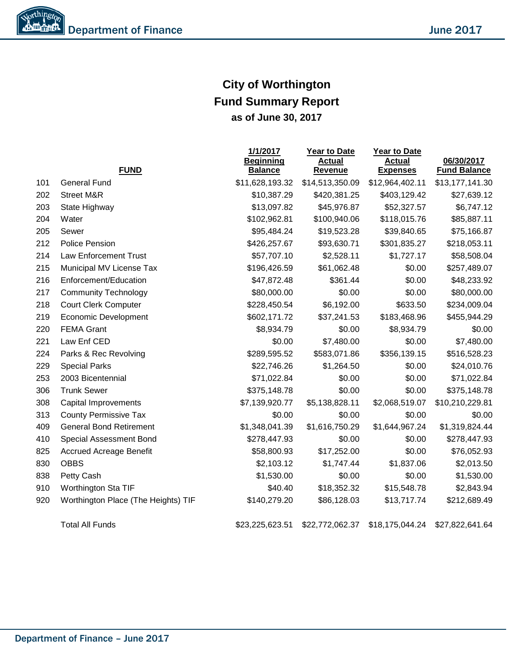### **City of Worthington Fund Summary Report as of June 30, 2017**

|     |                                     | 1/1/2017<br><b>Beginning</b> | <u> Year to Date</u><br><b>Actual</b> | <b>Year to Date</b><br><b>Actual</b> | 06/30/2017          |
|-----|-------------------------------------|------------------------------|---------------------------------------|--------------------------------------|---------------------|
|     | <b>FUND</b>                         | <b>Balance</b>               | Revenue                               | <b>Expenses</b>                      | <b>Fund Balance</b> |
| 101 | <b>General Fund</b>                 | \$11,628,193.32              | \$14,513,350.09                       | \$12,964,402.11                      | \$13,177,141.30     |
| 202 | <b>Street M&amp;R</b>               | \$10,387.29                  | \$420,381.25                          | \$403,129.42                         | \$27,639.12         |
| 203 | State Highway                       | \$13,097.82                  | \$45,976.87                           | \$52,327.57                          | \$6,747.12          |
| 204 | Water                               | \$102,962.81                 | \$100,940.06                          | \$118,015.76                         | \$85,887.11         |
| 205 | Sewer                               | \$95,484.24                  | \$19,523.28                           | \$39,840.65                          | \$75,166.87         |
| 212 | Police Pension                      | \$426,257.67                 | \$93,630.71                           | \$301,835.27                         | \$218,053.11        |
| 214 | <b>Law Enforcement Trust</b>        | \$57,707.10                  | \$2,528.11                            | \$1,727.17                           | \$58,508.04         |
| 215 | Municipal MV License Tax            | \$196,426.59                 | \$61,062.48                           | \$0.00                               | \$257,489.07        |
| 216 | Enforcement/Education               | \$47,872.48                  | \$361.44                              | \$0.00                               | \$48,233.92         |
| 217 | <b>Community Technology</b>         | \$80,000.00                  | \$0.00                                | \$0.00                               | \$80,000.00         |
| 218 | <b>Court Clerk Computer</b>         | \$228,450.54                 | \$6,192.00                            | \$633.50                             | \$234,009.04        |
| 219 | Economic Development                | \$602,171.72                 | \$37,241.53                           | \$183,468.96                         | \$455,944.29        |
| 220 | <b>FEMA Grant</b>                   | \$8,934.79                   | \$0.00                                | \$8,934.79                           | \$0.00              |
| 221 | Law Enf CED                         | \$0.00                       | \$7,480.00                            | \$0.00                               | \$7,480.00          |
| 224 | Parks & Rec Revolving               | \$289,595.52                 | \$583,071.86                          | \$356,139.15                         | \$516,528.23        |
| 229 | <b>Special Parks</b>                | \$22,746.26                  | \$1,264.50                            | \$0.00                               | \$24,010.76         |
| 253 | 2003 Bicentennial                   | \$71,022.84                  | \$0.00                                | \$0.00                               | \$71,022.84         |
| 306 | <b>Trunk Sewer</b>                  | \$375,148.78                 | \$0.00                                | \$0.00                               | \$375,148.78        |
| 308 | Capital Improvements                | \$7,139,920.77               | \$5,138,828.11                        | \$2,068,519.07                       | \$10,210,229.81     |
| 313 | <b>County Permissive Tax</b>        | \$0.00                       | \$0.00                                | \$0.00                               | \$0.00              |
| 409 | <b>General Bond Retirement</b>      | \$1,348,041.39               | \$1,616,750.29                        | \$1,644,967.24                       | \$1,319,824.44      |
| 410 | Special Assessment Bond             | \$278,447.93                 | \$0.00                                | \$0.00                               | \$278,447.93        |
| 825 | <b>Accrued Acreage Benefit</b>      | \$58,800.93                  | \$17,252.00                           | \$0.00                               | \$76,052.93         |
| 830 | <b>OBBS</b>                         | \$2,103.12                   | \$1,747.44                            | \$1,837.06                           | \$2,013.50          |
| 838 | Petty Cash                          | \$1,530.00                   | \$0.00                                | \$0.00                               | \$1,530.00          |
| 910 | Worthington Sta TIF                 | \$40.40                      | \$18,352.32                           | \$15,548.78                          | \$2,843.94          |
| 920 | Worthington Place (The Heights) TIF | \$140,279.20                 | \$86,128.03                           | \$13,717.74                          | \$212,689.49        |
|     | <b>Total All Funds</b>              | \$23,225,623.51              | \$22,772,062.37                       | \$18,175,044.24                      | \$27,822,641.64     |